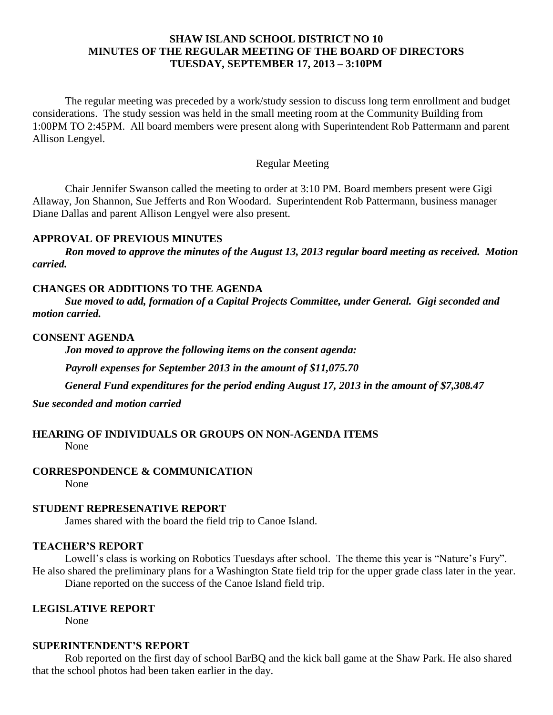## **SHAW ISLAND SCHOOL DISTRICT NO 10 MINUTES OF THE REGULAR MEETING OF THE BOARD OF DIRECTORS TUESDAY, SEPTEMBER 17, 2013 – 3:10PM**

The regular meeting was preceded by a work/study session to discuss long term enrollment and budget considerations. The study session was held in the small meeting room at the Community Building from 1:00PM TO 2:45PM. All board members were present along with Superintendent Rob Pattermann and parent Allison Lengyel.

## Regular Meeting

Chair Jennifer Swanson called the meeting to order at 3:10 PM. Board members present were Gigi Allaway, Jon Shannon, Sue Jefferts and Ron Woodard. Superintendent Rob Pattermann, business manager Diane Dallas and parent Allison Lengyel were also present.

#### **APPROVAL OF PREVIOUS MINUTES**

*Ron moved to approve the minutes of the August 13, 2013 regular board meeting as received. Motion carried.*

### **CHANGES OR ADDITIONS TO THE AGENDA**

*Sue moved to add, formation of a Capital Projects Committee, under General. Gigi seconded and motion carried.*

#### **CONSENT AGENDA**

*Jon moved to approve the following items on the consent agenda:*

*Payroll expenses for September 2013 in the amount of \$11,075.70*

*General Fund expenditures for the period ending August 17, 2013 in the amount of \$7,308.47*

*Sue seconded and motion carried*

# **HEARING OF INDIVIDUALS OR GROUPS ON NON-AGENDA ITEMS**

None

## **CORRESPONDENCE & COMMUNICATION**

None

## **STUDENT REPRESENATIVE REPORT**

James shared with the board the field trip to Canoe Island.

## **TEACHER'S REPORT**

Lowell's class is working on Robotics Tuesdays after school. The theme this year is "Nature's Fury". He also shared the preliminary plans for a Washington State field trip for the upper grade class later in the year. Diane reported on the success of the Canoe Island field trip.

## **LEGISLATIVE REPORT**

None

## **SUPERINTENDENT'S REPORT**

Rob reported on the first day of school BarBQ and the kick ball game at the Shaw Park. He also shared that the school photos had been taken earlier in the day.